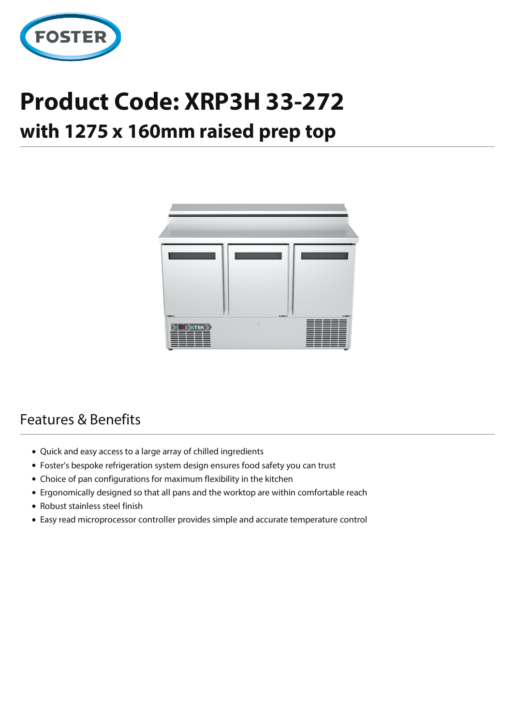

## **Product Code: XRP3H 33-272**

## **with 1275 x 160mm raised prep top**



## Features & Benefits

- Quick and easy access to a large array of chilled ingredients
- Foster's bespoke refrigeration system design ensures food safety you can trust
- Choice of pan configurations for maximum flexibility in the kitchen
- Ergonomically designed so that all pans and the worktop are within comfortable reach
- Robust stainless steel finish
- Easy read microprocessor controller provides simple and accurate temperature control